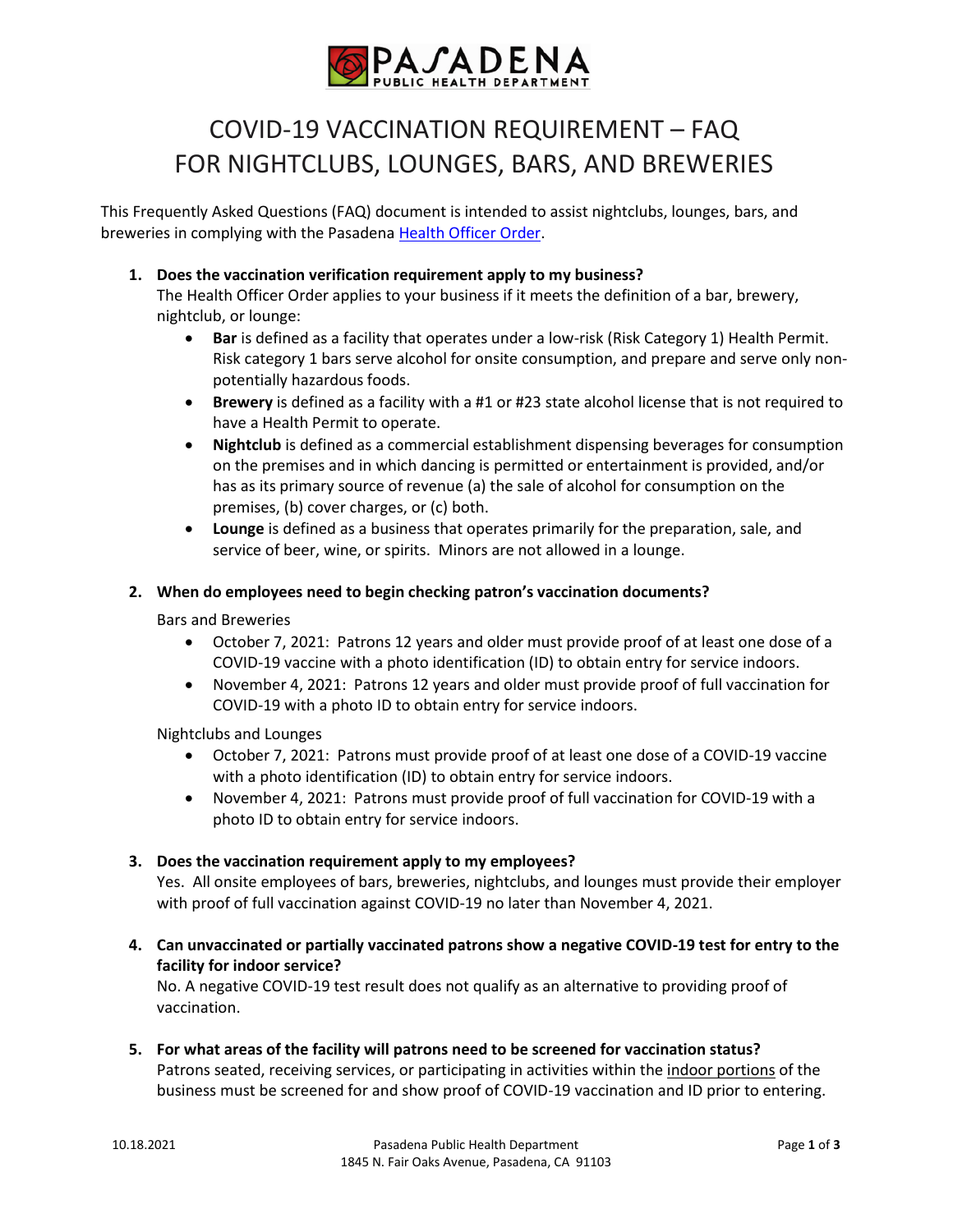

# COVID-19 VACCINATION REQUIREMENT – FAQ FOR NIGHTCLUBS, LOUNGES, BARS, AND BREWERIES

This Frequently Asked Questions (FAQ) document is intended to assist nightclubs, lounges, bars, and breweries in complying with the Pasadena [Health Officer Order.](https://www.cityofpasadena.net/public-health/wp-content/uploads/sites/32/Updated-Order-Mega-Events.pdf?v=1634324692324) 

**1. Does the vaccination verification requirement apply to my business?**

The Health Officer Order applies to your business if it meets the definition of a bar, brewery, nightclub, or lounge:

- **Bar** is defined as a facility that operates under a low-risk (Risk Category 1) Health Permit. Risk category 1 bars serve alcohol for onsite consumption, and prepare and serve only nonpotentially hazardous foods.
- **Brewery** is defined as a facility with a #1 or #23 state alcohol license that is not required to have a Health Permit to operate.
- **Nightclub** is defined as a commercial establishment dispensing beverages for consumption on the premises and in which dancing is permitted or entertainment is provided, and/or has as its primary source of revenue (a) the sale of alcohol for consumption on the premises, (b) cover charges, or (c) both.
- **Lounge** is defined as a business that operates primarily for the preparation, sale, and service of beer, wine, or spirits. Minors are not allowed in a lounge.

### **2. When do employees need to begin checking patron's vaccination documents?**

Bars and Breweries

- October 7, 2021: Patrons 12 years and older must provide proof of at least one dose of a COVID-19 vaccine with a photo identification (ID) to obtain entry for service indoors.
- November 4, 2021: Patrons 12 years and older must provide proof of full vaccination for COVID-19 with a photo ID to obtain entry for service indoors.

Nightclubs and Lounges

- October 7, 2021: Patrons must provide proof of at least one dose of a COVID-19 vaccine with a photo identification (ID) to obtain entry for service indoors.
- November 4, 2021: Patrons must provide proof of full vaccination for COVID-19 with a photo ID to obtain entry for service indoors.

### **3. Does the vaccination requirement apply to my employees?**

Yes. All onsite employees of bars, breweries, nightclubs, and lounges must provide their employer with proof of full vaccination against COVID-19 no later than November 4, 2021.

**4. Can unvaccinated or partially vaccinated patrons show a negative COVID-19 test for entry to the facility for indoor service?**

No. A negative COVID-19 test result does not qualify as an alternative to providing proof of vaccination.

**5. For what areas of the facility will patrons need to be screened for vaccination status?** Patrons seated, receiving services, or participating in activities within the indoor portions of the business must be screened for and show proof of COVID-19 vaccination and ID prior to entering.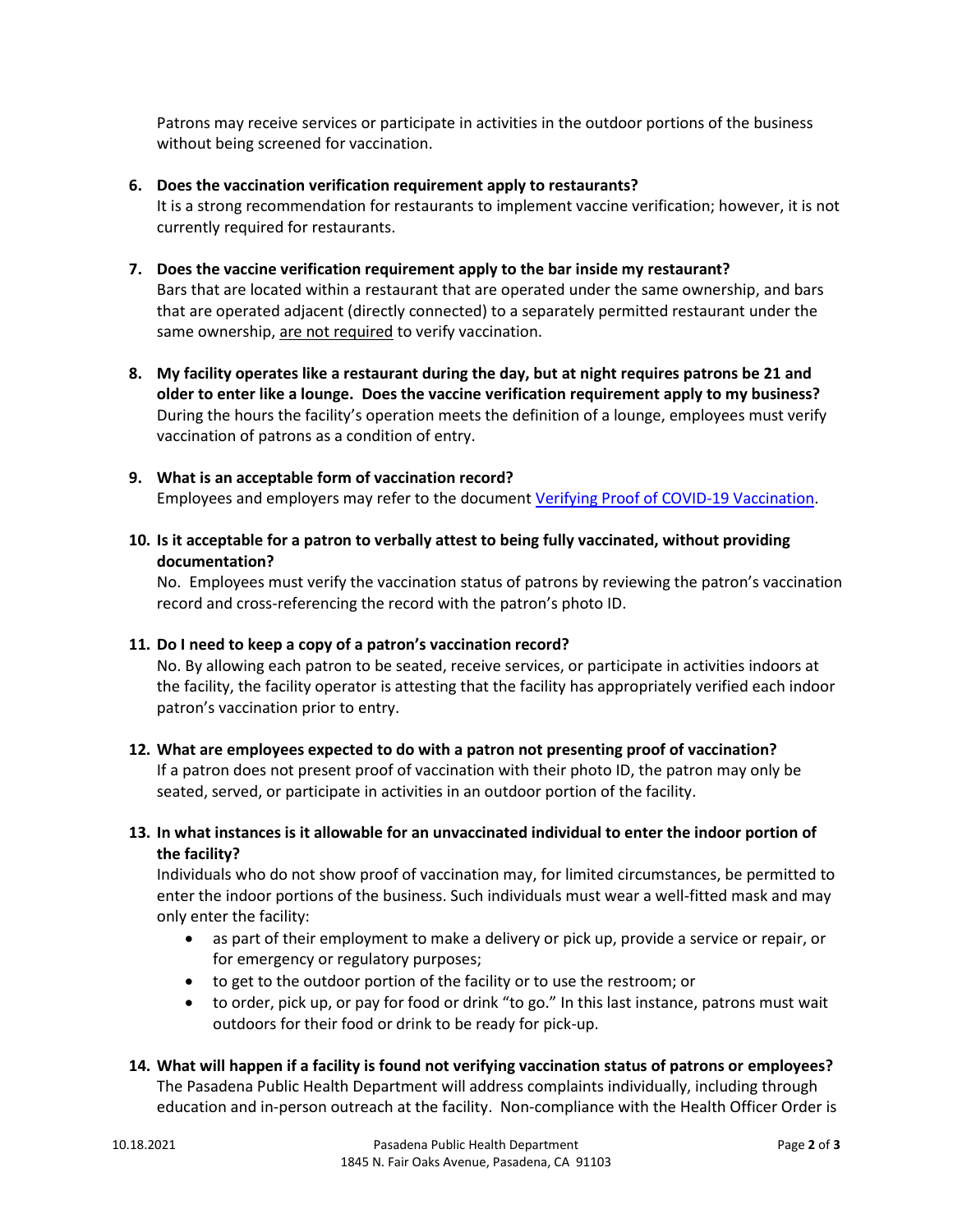Patrons may receive services or participate in activities in the outdoor portions of the business without being screened for vaccination.

#### **6. Does the vaccination verification requirement apply to restaurants?**

It is a strong recommendation for restaurants to implement vaccine verification; however, it is not currently required for restaurants.

# **7. Does the vaccine verification requirement apply to the bar inside my restaurant?**

Bars that are located within a restaurant that are operated under the same ownership, and bars that are operated adjacent (directly connected) to a separately permitted restaurant under the same ownership, are not required to verify vaccination.

**8. My facility operates like a restaurant during the day, but at night requires patrons be 21 and older to enter like a lounge. Does the vaccine verification requirement apply to my business?** During the hours the facility's operation meets the definition of a lounge, employees must verify vaccination of patrons as a condition of entry.

# **9. What is an acceptable form of vaccination record?** Employees and employers may refer to the document [Verifying Proof of COVID-19 Vaccination.](https://www.cityofpasadena.net/public-health/wp-content/uploads/sites/32/Guide-Verifying-Vaccination.pdf?v=1634325881732)

**10. Is it acceptable for a patron to verbally attest to being fully vaccinated, without providing documentation?**

No. Employees must verify the vaccination status of patrons by reviewing the patron's vaccination record and cross-referencing the record with the patron's photo ID.

# **11. Do I need to keep a copy of a patron's vaccination record?**

No. By allowing each patron to be seated, receive services, or participate in activities indoors at the facility, the facility operator is attesting that the facility has appropriately verified each indoor patron's vaccination prior to entry.

# **12. What are employees expected to do with a patron not presenting proof of vaccination?** If a patron does not present proof of vaccination with their photo ID, the patron may only be seated, served, or participate in activities in an outdoor portion of the facility.

# **13. In what instances is it allowable for an unvaccinated individual to enter the indoor portion of the facility?**

Individuals who do not show proof of vaccination may, for limited circumstances, be permitted to enter the indoor portions of the business. Such individuals must wear a well-fitted mask and may only enter the facility:

- as part of their employment to make a delivery or pick up, provide a service or repair, or for emergency or regulatory purposes;
- to get to the outdoor portion of the facility or to use the restroom; or
- to order, pick up, or pay for food or drink "to go." In this last instance, patrons must wait outdoors for their food or drink to be ready for pick-up.

# **14. What will happen if a facility is found not verifying vaccination status of patrons or employees?**

The Pasadena Public Health Department will address complaints individually, including through education and in-person outreach at the facility. Non-compliance with the Health Officer Order is